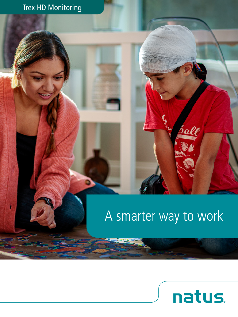# Trex HD Monitoring

# A smarter way to work



rall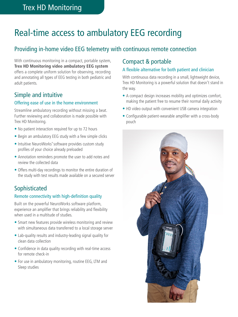# Real-time access to ambulatory EEG recording

# Providing in-home video EEG telemetry with continuous remote connection

With continuous monitoring in a compact, portable system, **Trex HD Monitoring video ambulatory EEG system** offers a complete uniform solution for observing, recording and annotating all types of EEG testing in both pediatric and adult patients.

## Simple and intuitive

#### Offering ease of use in the home environment

Streamline ambulatory recording without missing a beat. Further reviewing and collaboration is made possible with Trex HD Monitoring.

- No patient interaction required for up to 72 hours
- Begin an ambulatory EEG study with a few simple clicks
- Intuitive NeuroWorks® software provides custom study profiles of your choice already preloaded
- Annotation reminders promote the user to add notes and review the collected data
- Offers multi-day recordings to monitor the entire duration of the study with test results made available on a secured server

# **Sophisticated**

#### Remote connectivity with high-definition quality

Built on the powerful NeuroWorks software platform, experience an amplifier that brings reliability and flexibility when used in a multitude of studies.

- Smart new features provide wireless monitoring and review with simultaneous data transferred to a local storage server
- Lab-quality results and industry-leading signal quality for clean data collection
- Confidence in data quality recording with real-time access for remote check-in
- For use in ambulatory monitoring, routine EEG, LTM and Sleep studies

### Compact & portable

#### A flexible alternative for both patient and clinician

With continuous data recording in a small, lightweight device, Trex HD Monitoring is a powerful solution that doesn't stand in the way.

- A compact design increases mobility and optimizes comfort, making the patient free to resume their normal daily activity
- HD video output with convenient USB camera integration
- Configurable patient-wearable amplifier with a cross-body pouch

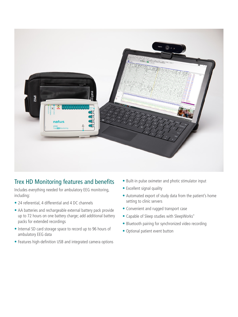

# Trex HD Monitoring features and benefits

Includes everything needed for ambulatory EEG monitoring, including:

- 24 referential, 4 differential and 4 DC channels
- AA batteries and rechargeable external battery pack provide up to 72 hours on one battery charge; add additional battery packs for extended recordings
- Internal SD card storage space to record up to 96 hours of ambulatory EEG data
- Features high-definition USB and integrated camera options
- Built-in pulse oximeter and photic stimulator input
- Excellent signal quality
- Automated export of study data from the patient's home setting to clinic servers
- Convenient and rugged transport case
- Capable of Sleep studies with SleepWorks®
- Bluetooth pairing for synchronized video recording
- Optional patient event button